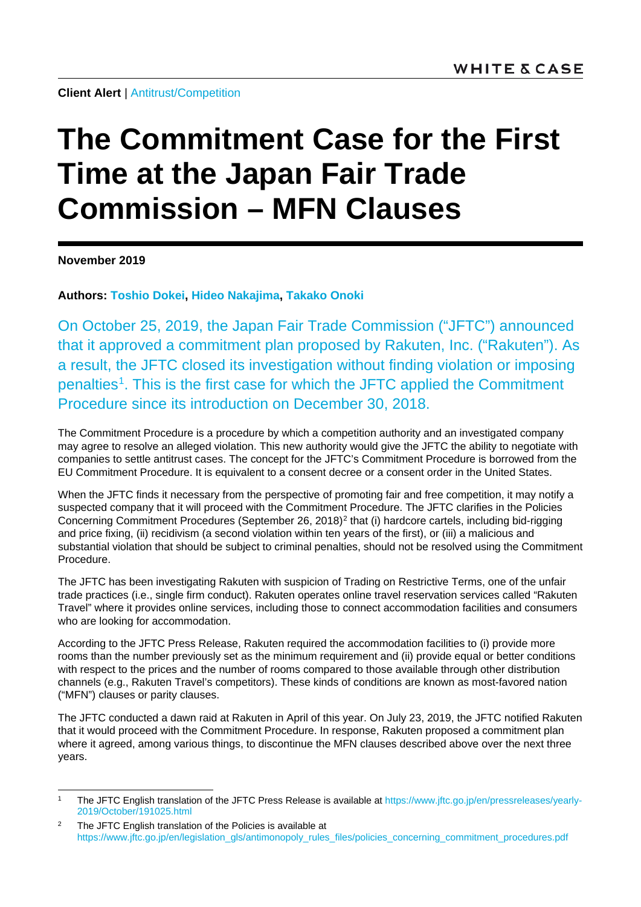**Client Alert** | [Antitrust/Competition](https://www.whitecase.com/law/practices/antitrust-competition)

## **The Commitment Case for the First Time at the Japan Fair Trade Commission – MFN Clauses**

**November 2019**

**Authors: [Toshio Dokei,](https://www.whitecase.com/people/toshio-dokei) [Hideo Nakajima,](https://www.whitecase.com/people/hideo-nakajima) [Takako Onoki](https://www.whitecase.com/people/takako-onoki)**

On October 25, 2019, the Japan Fair Trade Commission ("JFTC") announced that it approved a commitment plan proposed by Rakuten, Inc. ("Rakuten"). As a result, the JFTC closed its investigation without finding violation or imposing penalties<sup>[1](#page-0-0)</sup>. This is the first case for which the JFTC applied the Commitment Procedure since its introduction on December 30, 2018.

The Commitment Procedure is a procedure by which a competition authority and an investigated company may agree to resolve an alleged violation. This new authority would give the JFTC the ability to negotiate with companies to settle antitrust cases. The concept for the JFTC's Commitment Procedure is borrowed from the EU Commitment Procedure. It is equivalent to a consent decree or a consent order in the United States.

When the JFTC finds it necessary from the perspective of promoting fair and free competition, it may notify a suspected company that it will proceed with the Commitment Procedure. The JFTC clarifies in the Policies Concerning Commitment Procedures (September [2](#page-0-1)6, 2018)<sup>2</sup> that (i) hardcore cartels, including bid-rigging and price fixing, (ii) recidivism (a second violation within ten years of the first), or (iii) a malicious and substantial violation that should be subject to criminal penalties, should not be resolved using the Commitment Procedure.

The JFTC has been investigating Rakuten with suspicion of Trading on Restrictive Terms, one of the unfair trade practices (i.e., single firm conduct). Rakuten operates online travel reservation services called "Rakuten Travel" where it provides online services, including those to connect accommodation facilities and consumers who are looking for accommodation.

According to the JFTC Press Release, Rakuten required the accommodation facilities to (i) provide more rooms than the number previously set as the minimum requirement and (ii) provide equal or better conditions with respect to the prices and the number of rooms compared to those available through other distribution channels (e.g., Rakuten Travel's competitors). These kinds of conditions are known as most-favored nation ("MFN") clauses or parity clauses.

The JFTC conducted a dawn raid at Rakuten in April of this year. On July 23, 2019, the JFTC notified Rakuten that it would proceed with the Commitment Procedure. In response, Rakuten proposed a commitment plan where it agreed, among various things, to discontinue the MFN clauses described above over the next three years.

<span id="page-0-0"></span> <sup>1</sup> The JFTC English translation of the JFTC Press Release is available at [https://www.jftc.go.jp/en/pressreleases/yearly-](https://www.jftc.go.jp/en/pressreleases/yearly-2019/October/191025.html)[2019/October/191025.html](https://www.jftc.go.jp/en/pressreleases/yearly-2019/October/191025.html)

<span id="page-0-1"></span><sup>&</sup>lt;sup>2</sup> The JFTC English translation of the Policies is available at [https://www.jftc.go.jp/en/legislation\\_gls/antimonopoly\\_rules\\_files/policies\\_concerning\\_commitment\\_procedures.pdf](https://www.jftc.go.jp/en/legislation_gls/antimonopoly_rules_files/policies_concerning_commitment_procedures.pdf)